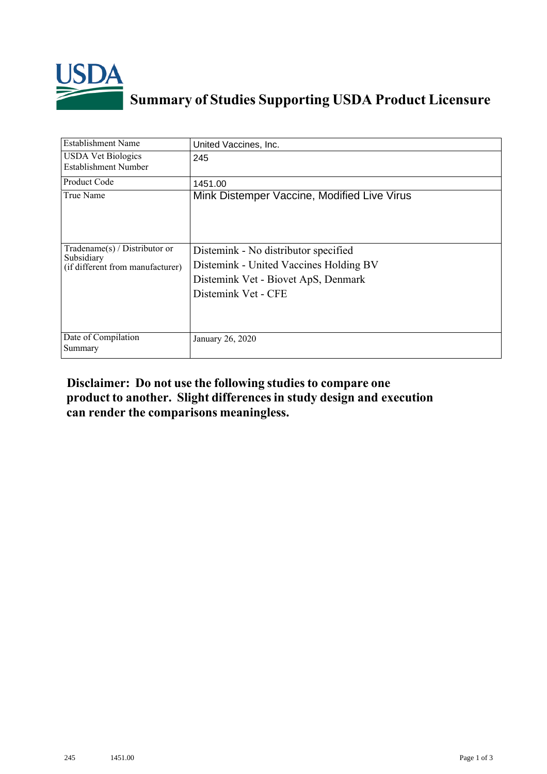

## **Summary of Studies Supporting USDA Product Licensure**

| <b>Establishment Name</b>                                                       | United Vaccines, Inc.                                                                                                                        |
|---------------------------------------------------------------------------------|----------------------------------------------------------------------------------------------------------------------------------------------|
| <b>USDA Vet Biologics</b><br><b>Establishment Number</b>                        | 245                                                                                                                                          |
| Product Code                                                                    | 1451.00                                                                                                                                      |
| True Name                                                                       | Mink Distemper Vaccine, Modified Live Virus                                                                                                  |
| Tradename(s) / Distributor or<br>Subsidiary<br>(if different from manufacturer) | Distemink - No distributor specified<br>Distemink - United Vaccines Holding BV<br>Distemink Vet - Biovet ApS, Denmark<br>Distemink Vet - CFE |
| Date of Compilation<br>Summary                                                  | January 26, 2020                                                                                                                             |

## **Disclaimer: Do not use the following studiesto compare one product to another. Slight differencesin study design and execution can render the comparisons meaningless.**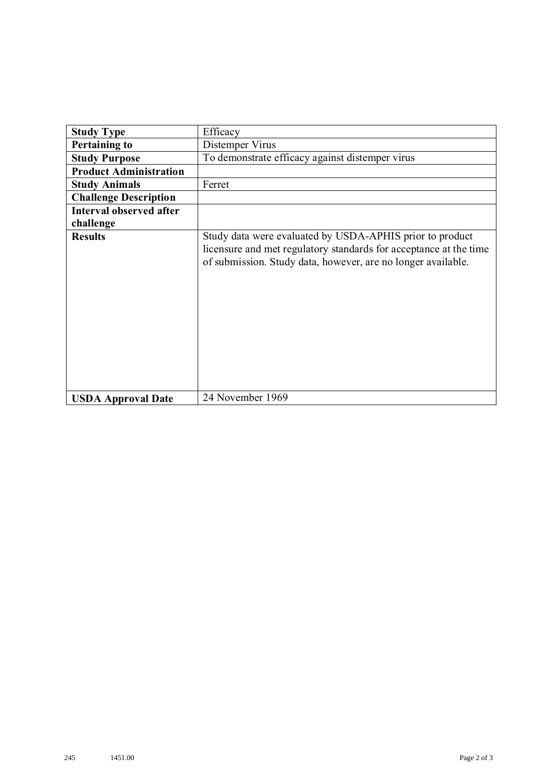| <b>Study Type</b>             | Efficacy                                                                                                                                                                                      |
|-------------------------------|-----------------------------------------------------------------------------------------------------------------------------------------------------------------------------------------------|
| <b>Pertaining to</b>          | Distemper Virus                                                                                                                                                                               |
| <b>Study Purpose</b>          | To demonstrate efficacy against distemper virus                                                                                                                                               |
| <b>Product Administration</b> |                                                                                                                                                                                               |
| <b>Study Animals</b>          | Ferret                                                                                                                                                                                        |
| <b>Challenge Description</b>  |                                                                                                                                                                                               |
| Interval observed after       |                                                                                                                                                                                               |
| challenge                     |                                                                                                                                                                                               |
| <b>Results</b>                | Study data were evaluated by USDA-APHIS prior to product<br>licensure and met regulatory standards for acceptance at the time<br>of submission. Study data, however, are no longer available. |
| <b>USDA Approval Date</b>     | 24 November 1969                                                                                                                                                                              |